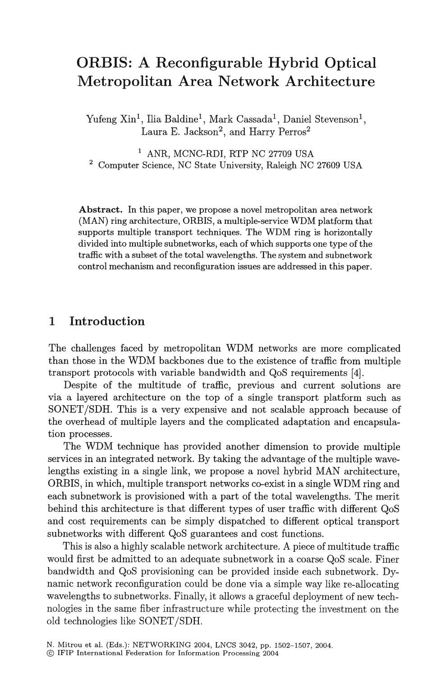# **ORBIS: A Reconfigurable Hybrid Optical Metropolitan Area Network Architecture**

Yufeng Xin<sup>1</sup>, Ilia Baldine<sup>1</sup>, Mark Cassada<sup>1</sup>, Daniel Stevenson<sup>1</sup>, Laura E. Jackson<sup>2</sup>, and Harry Perros<sup>2</sup>

<sup>1</sup> ANR, MCNC-RDI, RTP NC 27709 USA <sup>2</sup> Computer Science, NC State University, Raleigh NC 27609 USA

**Abstract.** In this paper, we propose a novel metropolitan area network (MAN) ring architecture, ORBIS, a multiple-service WDM platform that supports multiple transport techniques. The WDM ring is horizontally divided into multiple subnetworks, each of which supportsonetype of the traffic with a subset of the total wavelengths. The system and subnetwork control mechanism and reconfiguration issues are addressed in this paper.

#### **1 Introduction**

The challenges faced by metropolitan WDM networks are more complicated than those in the WDM backbones due to the existence of traffic from multiple transport protocols with variable bandwidth and QoS requirements [4].

Despite of the multitude of traffic, previous and current solutions are via a layered architecture on the top of a single transport platform such as SONET *jSDH.* This is a very expensive and not scalable approach because of the overhead of multiple layers and the complicated adaptation and encapsulation processes.

The WDM technique has provided another dimension to provide multiple services in an integrated network. By taking the advantage of the multiple wavelengths existing in a single link, we propose a novel hybrid MAN architecture, ORBIS, in which, multiple transport networks co-exist in a single WDM ring and each subnetwork is provisioned with <sup>a</sup>part of the total wavelengths. The merit behind this architecture is that different types of user traffic with different QoS and cost requirements can be simply dispatched to different optical transport subnetworks with different QoS guarantees and cost functions.

This is also a highly scalable network architecture. A piece of multitude traffic would first be admitted to an adequate subnetwork in a coarse QoS scale. Finer bandwidth and QoS provisioning can be provided inside each subnetwork. Dynamic network reconfiguration could be done via a simple way like re-allocating wavelengths to subnetworks. Finally, it allows a graceful deployment of new technologies in the same fiber infrastructure while protecting the investment on th<sup>e</sup> old technologies like SONET/SDH.

<sup>@</sup> IFIP International Federation for Information Processing 2004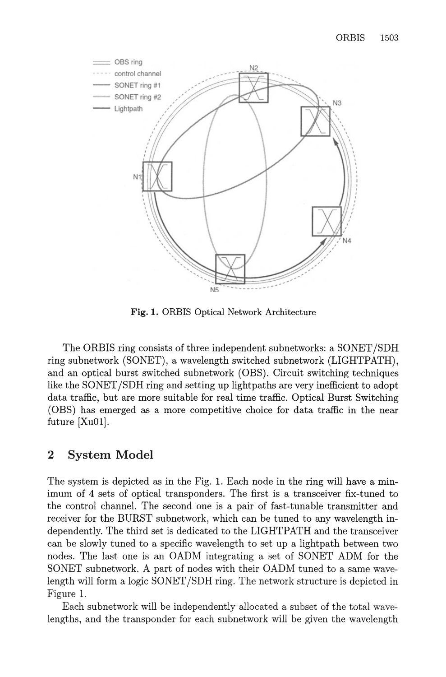

Fig. 1. ORBIS Optical Network Architecture

The ORBIS ring consists of three independent subnetworks: a SONET *jSDH*  ring subnetwork (SONET), a wavelength switched subnetwork (LIGHTPATH), and an optical hurst switched subnetwork (OBS). Circuit switching techniques like the SONET/SDH ring and setting up lightpaths are very inefficient to adopt data traffic, but are more suitable for real time traffic. Optical Burst Switching (OBS) has emerged as a more competitive choice for data traffic in the near future  $[Xu01]$ .

## **2** System **Model**

The system is depicted as in the Fig. 1. Each node in the ring will have a minimum of 4 sets of optical transponders. The first is a transceiver fix-tuned to the control channel. The second one is a pair of fast-tunable transmitter and receiver for the BURST subnetwork, which can be tuned to any wavelength independently. The third set is dedicated to the LIGHTPATH and the transceiver can be slowly tuned to a specific wavelength to set up a lightpath between two nodes. The last one is an OADM integrating a set of SONET ADM for the SONET subnetwork. A part of nodes with their OADM tuned to a same wavelength will form a logic SONET/SDH ring. The network structure is depicted in Figure 1.

Each subnetwork will be independently allocated a subset of the total wavelengths, and the transponder for each subnetwork will be given the wavelength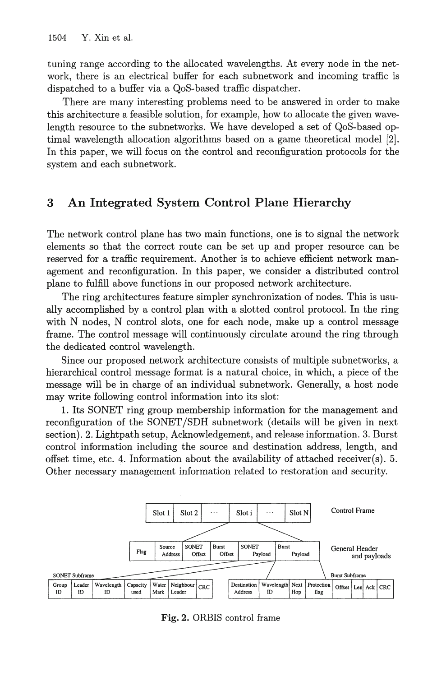tuning range according to the allocated wavelengths. At every node in the network, there is an electrical buffer for each subnetwork and incoming traffic is dispatched to a buffer via a QoS-based traffic dispatcher.

There are many interesting problems need to be answered in order to make this architecture a feasible solution, for example, how to allocate the given wavelength resource to the subnetworks. We have developed a set of QoS-based optimal wavelength allocation algorithms based on a game theoretical model [2]. In this paper, we will focus on the control and reconfiguration protocols for the system and each subnetwork.

# 3 An Integrated System Control Plane Hierarchy

The network control plane has two main functions, one is to signal the network elements so that the correct route can be set up and proper resource can be reserved for a traffic requirement. Another is to achieve efficient network management and reconfiguration. In this paper, we consider a distributed control plane to fulfill above functions in our proposed network architecture.

The ring architectures feature simpler synchronization of nodes. This is usually accomplished by a control plan with a slotted control protocol. In the ring with N nodes, N control slots, one for each node, make up a control message frame. The control message will continuously circulate around the ring through the dedicated control wavelength.

Since our proposed network architecture consists of multiple subnetworks, a hierarchical control message format is a natural choice, in which, a piece of the message will be in charge of an individual subnetwork. Generally, a host node may write following control information into its slot:

1. Its SONET ring group membership information for the management and reconfiguration of the SONET /SDH subnetwork ( details will be given in next section). 2. Lightpath setup, Acknowledgement, andrelease information. 3. Burst control information including the source and destination address, length, and offset time, etc. 4. Information about the availability of attached receiver(s). 5. Other necessary management information related to restoration and security.



Fig. 2. ORBIS control frame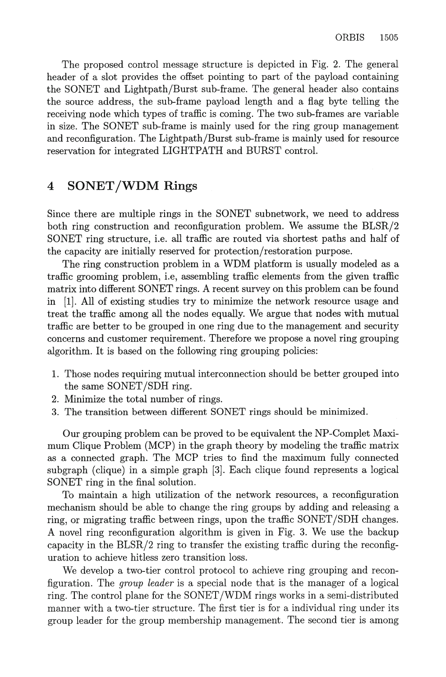The proposed control message structure is depicted in Fig. 2. The general header of a slot provides the offset pointing to part of the payload containing the SONET and Lightpath/Burst sub-frame. The general header also contains the source address, the sub-frame payload length and a fiag byte telling the receiving node which types of traffic is coming. The two sub-frames arevariable in size. The SONET sub-frame is mainly used for the ring group management and reconfiguration. The Lightpath/Burst sub-frame is mainly used for resource reservation for integrated LIGHTPATH and BURST control.

# **4 SONET/WDM Rings**

Since there are multiple rings in the SONET subnetwork, we need to address both ring construction and reconfiguration problem. We assume the BLSR/2 SONET ring structure, i.e. all traffic are routed via shortest paths and half of the capacity are initially reserved for protection/restoration purpose.

The ring construction problem in a WDM platform is usually modeled as a traffic grooming problem, i.e, assembling traffic elements from the given traffic matrix into different SONET rings. A recent survey on this problem can be found in [1]. All of existing studies try to minimize the network resource usage and treat the traffic among all the nodes equally. We argue that nodes with mutual traffic are better to be grouped in one ring due to the management and security concerns and customer requirement. Therefore we propose a novel ring grouping algorithm. It is based on the following ring grouping policies:

- 1. Those nodes requiring mutual interconnection should be better grouped into the same SONET /SDH ring.
- 2. Minimize the total number of rings.
- 3. The transition between different SONET rings should be minimized.

Our grouping problern can be proved tobe equivalent the NP-Complet Maximum Clique Problem (MCP) in the graph theory by modeling the traffic matrix as a connected graph. The MCP tries to find the maximum fully connected subgraph (clique) in a simple graph [3]. Each clique found represents a logical SONET ring in the final solution.

To maintain a high utilization of the network resources, a reconfiguration mechanism should be able to change the ring groups by adding and releasing a ring, or migrating traffic between rings, upon the traffic SONET /SDH changes. A novel ring reconfiguration algorithm is given in Fig. 3. We use the backup capacity in the  $BLSR/2$  ring to transfer the existing traffic during the reconfiguration to achieve hitless zero transition loss.

We develop a two-tier control protocol to achieve ring grouping and reconfiguration. The *group leader* is a special node that is the manager of a logical ring. The control plane for the SONET *jWDM* rings works in a semi-distributed manner with a two-tier structure. The first tier is for a individual ring under its group leader for the group membership management. The second tier is among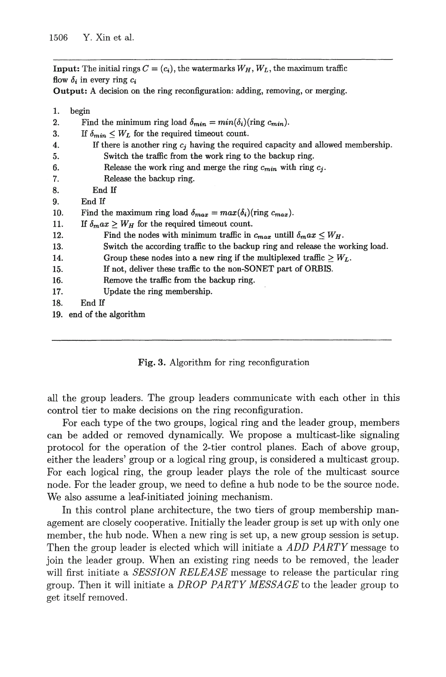**Input:** The initial rings  $C = (c_i)$ , the watermarks  $W_H$ ,  $W_L$ , the maximum traffic flow  $\delta_i$  in every ring  $c_i$ 

**Output:** A decision on the ring reconfiguration: adding, removing, or merging.

| 1.  | begin                                                                               |
|-----|-------------------------------------------------------------------------------------|
| 2.  | Find the minimum ring load $\delta_{min} = min(\delta_i)(\text{ring } c_{min}).$    |
| 3.  | If $\delta_{min} \leq W_L$ for the required timeout count.                          |
| 4.  | If there is another ring $c_j$ having the required capacity and allowed membership. |
| 5.  | Switch the traffic from the work ring to the backup ring.                           |
| 6.  | Release the work ring and merge the ring $c_{min}$ with ring $c_i$ .                |
| 7.  | Release the backup ring.                                                            |
| 8.  | End If                                                                              |
| 9.  | End If                                                                              |
| 10. | Find the maximum ring load $\delta_{max} = max(\delta_i)(\text{ring } c_{max}).$    |
| 11. | If $\delta_m a x \geq W_H$ for the required timeout count.                          |
| 12. | Find the nodes with minimum traffic in $c_{max}$ untill $\delta_{max} \leq W_H$ .   |
| 13. | Switch the according traffic to the backup ring and release the working load.       |
| 14. | Group these nodes into a new ring if the multiplexed traffic $>W_L$ .               |
| 15. | If not, deliver these traffic to the non-SONET part of ORBIS.                       |
| 16. | Remove the traffic from the backup ring.                                            |
| 17. | Update the ring membership.                                                         |
| 18. | End If                                                                              |
|     | 19. end of the algorithm                                                            |
|     |                                                                                     |

Fig. 3. Algorithm for ring reconfiguration

all the group leaders. The group leaders communicate with each other in this control tier to make decisions on the ring reconfiguration.

For each type of the two groups, logical ring and the leader group, members can be added or removed dynamically. We propose a multicast-like signaling protocol for the operation of the 2-tier control planes. Each of above group, either the leaders' group or a logical ring group, is considered a multicast group. For each logical ring, the group leader plays the role of the multicast source node. For the leader group, we need to define a hub node to be the source node. We also assume a leaf-initiated joining mechanism.

In this control plane architecture, the two tiers of group membership management are closely cooperative. Initially the leader group is set up with only one member, the hub node. When a new ring is set up, a new group session is setup. Then the group leader is elected which will initiate a *ADD PARTYmessage* to join the leader group. When an existing ring needs to be removed, the leader will first initiate a *SESSION RELEASEmessage* to release the particular ring group. Then it will initiate a *DROP PARTY MESSAGE* to the leader group to get itself removed.